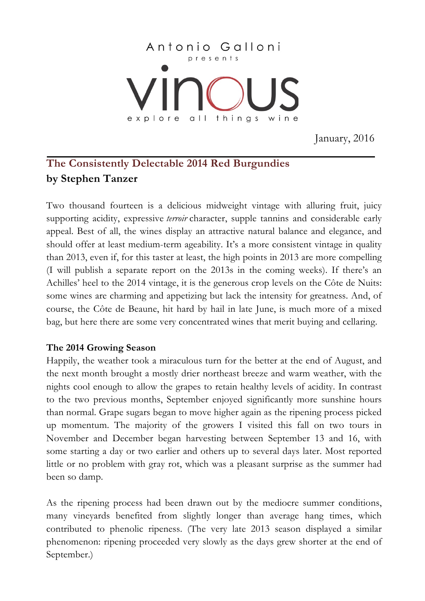

January, 2016

# **The Consistently Delectable 2014 Red Burgundies by Stephen Tanzer**

Two thousand fourteen is a delicious midweight vintage with alluring fruit, juicy supporting acidity, expressive *terroir* character, supple tannins and considerable early appeal. Best of all, the wines display an attractive natural balance and elegance, and should offer at least medium-term ageability. It's a more consistent vintage in quality than 2013, even if, for this taster at least, the high points in 2013 are more compelling (I will publish a separate report on the 2013s in the coming weeks). If there's an Achilles' heel to the 2014 vintage, it is the generous crop levels on the Côte de Nuits: some wines are charming and appetizing but lack the intensity for greatness. And, of course, the Côte de Beaune, hit hard by hail in late June, is much more of a mixed bag, but here there are some very concentrated wines that merit buying and cellaring.

## **The 2014 Growing Season**

Happily, the weather took a miraculous turn for the better at the end of August, and the next month brought a mostly drier northeast breeze and warm weather, with the nights cool enough to allow the grapes to retain healthy levels of acidity. In contrast to the two previous months, September enjoyed significantly more sunshine hours than normal. Grape sugars began to move higher again as the ripening process picked up momentum. The majority of the growers I visited this fall on two tours in November and December began harvesting between September 13 and 16, with some starting a day or two earlier and others up to several days later. Most reported little or no problem with gray rot, which was a pleasant surprise as the summer had been so damp.

As the ripening process had been drawn out by the mediocre summer conditions, many vineyards benefited from slightly longer than average hang times, which contributed to phenolic ripeness. (The very late 2013 season displayed a similar phenomenon: ripening proceeded very slowly as the days grew shorter at the end of September.)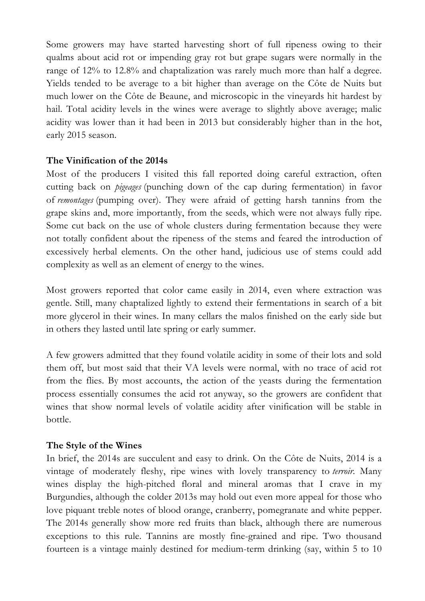Some growers may have started harvesting short of full ripeness owing to their qualms about acid rot or impending gray rot but grape sugars were normally in the range of 12% to 12.8% and chaptalization was rarely much more than half a degree. Yields tended to be average to a bit higher than average on the Côte de Nuits but much lower on the Côte de Beaune, and microscopic in the vineyards hit hardest by hail. Total acidity levels in the wines were average to slightly above average; malic acidity was lower than it had been in 2013 but considerably higher than in the hot, early 2015 season.

## **The Vinification of the 2014s**

Most of the producers I visited this fall reported doing careful extraction, often cutting back on *pigeages* (punching down of the cap during fermentation) in favor of *remontages* (pumping over). They were afraid of getting harsh tannins from the grape skins and, more importantly, from the seeds, which were not always fully ripe. Some cut back on the use of whole clusters during fermentation because they were not totally confident about the ripeness of the stems and feared the introduction of excessively herbal elements. On the other hand, judicious use of stems could add complexity as well as an element of energy to the wines.

Most growers reported that color came easily in 2014, even where extraction was gentle. Still, many chaptalized lightly to extend their fermentations in search of a bit more glycerol in their wines. In many cellars the malos finished on the early side but in others they lasted until late spring or early summer.

A few growers admitted that they found volatile acidity in some of their lots and sold them off, but most said that their VA levels were normal, with no trace of acid rot from the flies. By most accounts, the action of the yeasts during the fermentation process essentially consumes the acid rot anyway, so the growers are confident that wines that show normal levels of volatile acidity after vinification will be stable in bottle.

#### **The Style of the Wines**

In brief, the 2014s are succulent and easy to drink. On the Côte de Nuits, 2014 is a vintage of moderately fleshy, ripe wines with lovely transparency to *terroir*. Many wines display the high-pitched floral and mineral aromas that I crave in my Burgundies, although the colder 2013s may hold out even more appeal for those who love piquant treble notes of blood orange, cranberry, pomegranate and white pepper. The 2014s generally show more red fruits than black, although there are numerous exceptions to this rule. Tannins are mostly fine-grained and ripe. Two thousand fourteen is a vintage mainly destined for medium-term drinking (say, within 5 to 10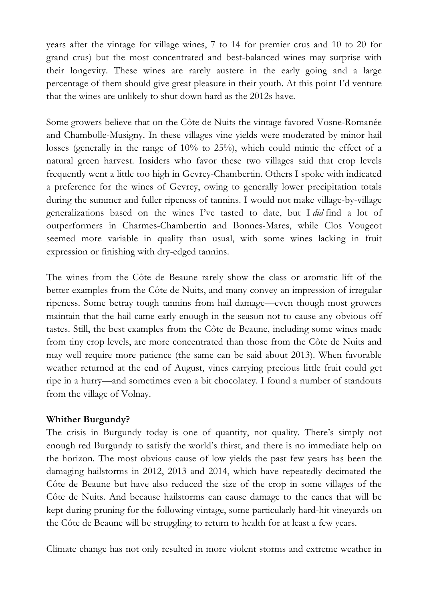years after the vintage for village wines, 7 to 14 for premier crus and 10 to 20 for grand crus) but the most concentrated and best-balanced wines may surprise with their longevity. These wines are rarely austere in the early going and a large percentage of them should give great pleasure in their youth. At this point I'd venture that the wines are unlikely to shut down hard as the 2012s have.

Some growers believe that on the Côte de Nuits the vintage favored Vosne-Romanée and Chambolle-Musigny. In these villages vine yields were moderated by minor hail losses (generally in the range of 10% to 25%), which could mimic the effect of a natural green harvest. Insiders who favor these two villages said that crop levels frequently went a little too high in Gevrey-Chambertin. Others I spoke with indicated a preference for the wines of Gevrey, owing to generally lower precipitation totals during the summer and fuller ripeness of tannins. I would not make village-by-village generalizations based on the wines I've tasted to date, but I *did* find a lot of outperformers in Charmes-Chambertin and Bonnes-Mares, while Clos Vougeot seemed more variable in quality than usual, with some wines lacking in fruit expression or finishing with dry-edged tannins.

The wines from the Côte de Beaune rarely show the class or aromatic lift of the better examples from the Côte de Nuits, and many convey an impression of irregular ripeness. Some betray tough tannins from hail damage—even though most growers maintain that the hail came early enough in the season not to cause any obvious off tastes. Still, the best examples from the Côte de Beaune, including some wines made from tiny crop levels, are more concentrated than those from the Côte de Nuits and may well require more patience (the same can be said about 2013). When favorable weather returned at the end of August, vines carrying precious little fruit could get ripe in a hurry—and sometimes even a bit chocolatey. I found a number of standouts from the village of Volnay.

## **Whither Burgundy?**

The crisis in Burgundy today is one of quantity, not quality. There's simply not enough red Burgundy to satisfy the world's thirst, and there is no immediate help on the horizon. The most obvious cause of low yields the past few years has been the damaging hailstorms in 2012, 2013 and 2014, which have repeatedly decimated the Côte de Beaune but have also reduced the size of the crop in some villages of the Côte de Nuits. And because hailstorms can cause damage to the canes that will be kept during pruning for the following vintage, some particularly hard-hit vineyards on the Côte de Beaune will be struggling to return to health for at least a few years.

Climate change has not only resulted in more violent storms and extreme weather in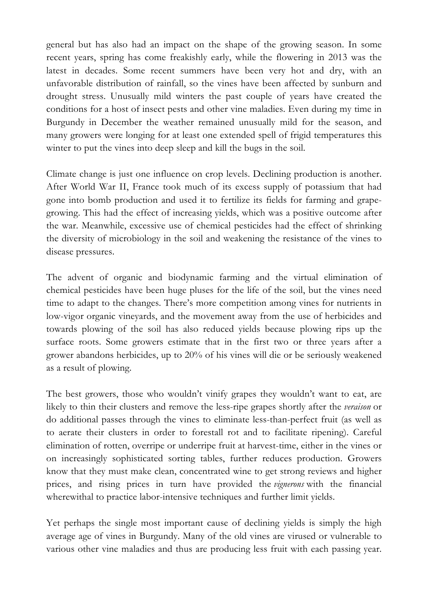general but has also had an impact on the shape of the growing season. In some recent years, spring has come freakishly early, while the flowering in 2013 was the latest in decades. Some recent summers have been very hot and dry, with an unfavorable distribution of rainfall, so the vines have been affected by sunburn and drought stress. Unusually mild winters the past couple of years have created the conditions for a host of insect pests and other vine maladies. Even during my time in Burgundy in December the weather remained unusually mild for the season, and many growers were longing for at least one extended spell of frigid temperatures this winter to put the vines into deep sleep and kill the bugs in the soil.

Climate change is just one influence on crop levels. Declining production is another. After World War II, France took much of its excess supply of potassium that had gone into bomb production and used it to fertilize its fields for farming and grapegrowing. This had the effect of increasing yields, which was a positive outcome after the war. Meanwhile, excessive use of chemical pesticides had the effect of shrinking the diversity of microbiology in the soil and weakening the resistance of the vines to disease pressures.

The advent of organic and biodynamic farming and the virtual elimination of chemical pesticides have been huge pluses for the life of the soil, but the vines need time to adapt to the changes. There's more competition among vines for nutrients in low-vigor organic vineyards, and the movement away from the use of herbicides and towards plowing of the soil has also reduced yields because plowing rips up the surface roots. Some growers estimate that in the first two or three years after a grower abandons herbicides, up to 20% of his vines will die or be seriously weakened as a result of plowing.

The best growers, those who wouldn't vinify grapes they wouldn't want to eat, are likely to thin their clusters and remove the less-ripe grapes shortly after the *veraison* or do additional passes through the vines to eliminate less-than-perfect fruit (as well as to aerate their clusters in order to forestall rot and to facilitate ripening). Careful elimination of rotten, overripe or underripe fruit at harvest-time, either in the vines or on increasingly sophisticated sorting tables, further reduces production. Growers know that they must make clean, concentrated wine to get strong reviews and higher prices, and rising prices in turn have provided the *vignerons* with the financial wherewithal to practice labor-intensive techniques and further limit yields.

Yet perhaps the single most important cause of declining yields is simply the high average age of vines in Burgundy. Many of the old vines are virused or vulnerable to various other vine maladies and thus are producing less fruit with each passing year.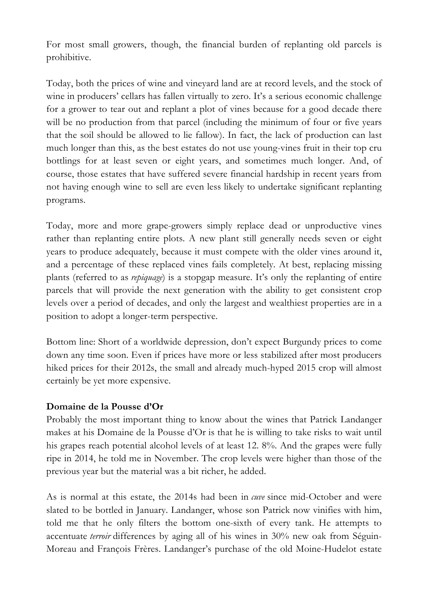For most small growers, though, the financial burden of replanting old parcels is prohibitive.

Today, both the prices of wine and vineyard land are at record levels, and the stock of wine in producers' cellars has fallen virtually to zero. It's a serious economic challenge for a grower to tear out and replant a plot of vines because for a good decade there will be no production from that parcel (including the minimum of four or five years that the soil should be allowed to lie fallow). In fact, the lack of production can last much longer than this, as the best estates do not use young-vines fruit in their top cru bottlings for at least seven or eight years, and sometimes much longer. And, of course, those estates that have suffered severe financial hardship in recent years from not having enough wine to sell are even less likely to undertake significant replanting programs.

Today, more and more grape-growers simply replace dead or unproductive vines rather than replanting entire plots. A new plant still generally needs seven or eight years to produce adequately, because it must compete with the older vines around it, and a percentage of these replaced vines fails completely. At best, replacing missing plants (referred to as *repiquage*) is a stopgap measure. It's only the replanting of entire parcels that will provide the next generation with the ability to get consistent crop levels over a period of decades, and only the largest and wealthiest properties are in a position to adopt a longer-term perspective.

Bottom line: Short of a worldwide depression, don't expect Burgundy prices to come down any time soon. Even if prices have more or less stabilized after most producers hiked prices for their 2012s, the small and already much-hyped 2015 crop will almost certainly be yet more expensive.

## **Domaine de la Pousse d'Or**

Probably the most important thing to know about the wines that Patrick Landanger makes at his Domaine de la Pousse d'Or is that he is willing to take risks to wait until his grapes reach potential alcohol levels of at least 12. 8%. And the grapes were fully ripe in 2014, he told me in November. The crop levels were higher than those of the previous year but the material was a bit richer, he added.

As is normal at this estate, the 2014s had been in *cuve* since mid-October and were slated to be bottled in January. Landanger, whose son Patrick now vinifies with him, told me that he only filters the bottom one-sixth of every tank. He attempts to accentuate *terroir* differences by aging all of his wines in 30% new oak from Séguin-Moreau and François Frères. Landanger's purchase of the old Moine-Hudelot estate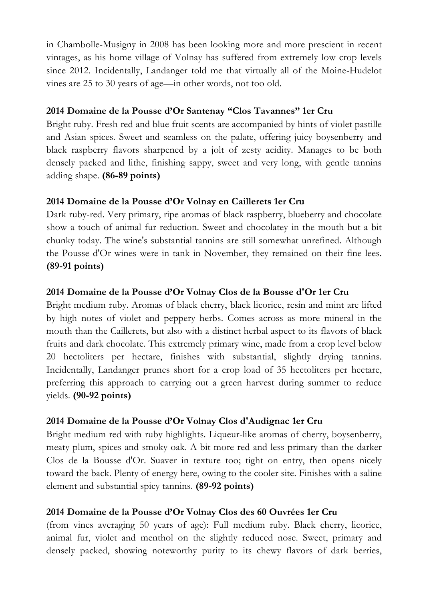in Chambolle-Musigny in 2008 has been looking more and more prescient in recent vintages, as his home village of Volnay has suffered from extremely low crop levels since 2012. Incidentally, Landanger told me that virtually all of the Moine-Hudelot vines are 25 to 30 years of age—in other words, not too old.

## **2014 Domaine de la Pousse d'Or Santenay "Clos Tavannes" 1er Cru**

Bright ruby. Fresh red and blue fruit scents are accompanied by hints of violet pastille and Asian spices. Sweet and seamless on the palate, offering juicy boysenberry and black raspberry flavors sharpened by a jolt of zesty acidity. Manages to be both densely packed and lithe, finishing sappy, sweet and very long, with gentle tannins adding shape. **(86-89 points)**

# **2014 Domaine de la Pousse d'Or Volnay en Caillerets 1er Cru**

Dark ruby-red. Very primary, ripe aromas of black raspberry, blueberry and chocolate show a touch of animal fur reduction. Sweet and chocolatey in the mouth but a bit chunky today. The wine's substantial tannins are still somewhat unrefined. Although the Pousse d'Or wines were in tank in November, they remained on their fine lees. **(89-91 points)**

# **2014 Domaine de la Pousse d'Or Volnay Clos de la Bousse d'Or 1er Cru**

Bright medium ruby. Aromas of black cherry, black licorice, resin and mint are lifted by high notes of violet and peppery herbs. Comes across as more mineral in the mouth than the Caillerets, but also with a distinct herbal aspect to its flavors of black fruits and dark chocolate. This extremely primary wine, made from a crop level below 20 hectoliters per hectare, finishes with substantial, slightly drying tannins. Incidentally, Landanger prunes short for a crop load of 35 hectoliters per hectare, preferring this approach to carrying out a green harvest during summer to reduce yields. **(90-92 points)**

# **2014 Domaine de la Pousse d'Or Volnay Clos d'Audignac 1er Cru**

Bright medium red with ruby highlights. Liqueur-like aromas of cherry, boysenberry, meaty plum, spices and smoky oak. A bit more red and less primary than the darker Clos de la Bousse d'Or. Suaver in texture too; tight on entry, then opens nicely toward the back. Plenty of energy here, owing to the cooler site. Finishes with a saline element and substantial spicy tannins. **(89-92 points)**

# **2014 Domaine de la Pousse d'Or Volnay Clos des 60 Ouvrées 1er Cru**

(from vines averaging 50 years of age): Full medium ruby. Black cherry, licorice, animal fur, violet and menthol on the slightly reduced nose. Sweet, primary and densely packed, showing noteworthy purity to its chewy flavors of dark berries,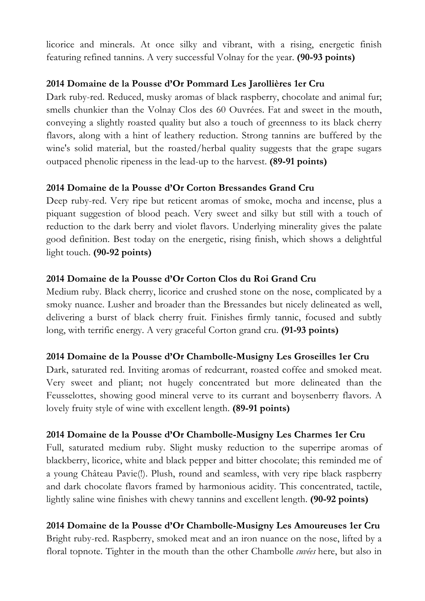licorice and minerals. At once silky and vibrant, with a rising, energetic finish featuring refined tannins. A very successful Volnay for the year. **(90-93 points)**

# **2014 Domaine de la Pousse d'Or Pommard Les Jarollières 1er Cru**

Dark ruby-red. Reduced, musky aromas of black raspberry, chocolate and animal fur; smells chunkier than the Volnay Clos des 60 Ouvrées. Fat and sweet in the mouth, conveying a slightly roasted quality but also a touch of greenness to its black cherry flavors, along with a hint of leathery reduction. Strong tannins are buffered by the wine's solid material, but the roasted/herbal quality suggests that the grape sugars outpaced phenolic ripeness in the lead-up to the harvest. **(89-91 points)**

# **2014 Domaine de la Pousse d'Or Corton Bressandes Grand Cru**

Deep ruby-red. Very ripe but reticent aromas of smoke, mocha and incense, plus a piquant suggestion of blood peach. Very sweet and silky but still with a touch of reduction to the dark berry and violet flavors. Underlying minerality gives the palate good definition. Best today on the energetic, rising finish, which shows a delightful light touch. **(90-92 points)**

# **2014 Domaine de la Pousse d'Or Corton Clos du Roi Grand Cru**

Medium ruby. Black cherry, licorice and crushed stone on the nose, complicated by a smoky nuance. Lusher and broader than the Bressandes but nicely delineated as well, delivering a burst of black cherry fruit. Finishes firmly tannic, focused and subtly long, with terrific energy. A very graceful Corton grand cru. **(91-93 points)**

## **2014 Domaine de la Pousse d'Or Chambolle-Musigny Les Groseilles 1er Cru**

Dark, saturated red. Inviting aromas of redcurrant, roasted coffee and smoked meat. Very sweet and pliant; not hugely concentrated but more delineated than the Feusselottes, showing good mineral verve to its currant and boysenberry flavors. A lovely fruity style of wine with excellent length. **(89-91 points)**

## **2014 Domaine de la Pousse d'Or Chambolle-Musigny Les Charmes 1er Cru**

Full, saturated medium ruby. Slight musky reduction to the superripe aromas of blackberry, licorice, white and black pepper and bitter chocolate; this reminded me of a young Château Pavie(!). Plush, round and seamless, with very ripe black raspberry and dark chocolate flavors framed by harmonious acidity. This concentrated, tactile, lightly saline wine finishes with chewy tannins and excellent length. **(90-92 points)**

**2014 Domaine de la Pousse d'Or Chambolle-Musigny Les Amoureuses 1er Cru** Bright ruby-red. Raspberry, smoked meat and an iron nuance on the nose, lifted by a floral topnote. Tighter in the mouth than the other Chambolle *cuvées* here, but also in